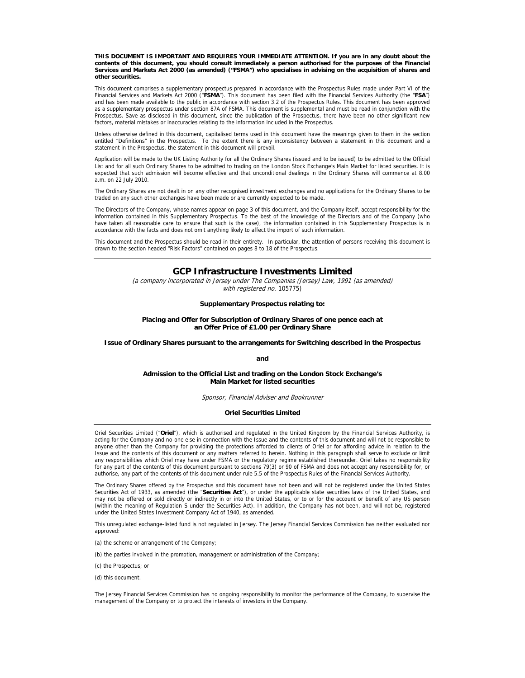**THIS DOCUMENT IS IMPORTANT AND REQUIRES YOUR IMMEDIATE ATTENTION. If you are in any doubt about the contents of this document, you should consult immediately a person authorised for the purposes of the Financial Services and Markets Act 2000 (as amended) ("FSMA") who specialises in advising on the acquisition of shares and other securities.** 

This document comprises a supplementary prospectus prepared in accordance with the Prospectus Rules made under Part VI of the Financial Services and Markets Act 2000 ("**FSMA**"). This document has been filed with the Financial Services Authority (the "**FSA**") and has been made available to the public in accordance with section 3.2 of the Prospectus Rules. This document has been approved as a supplementary prospectus under section 87A of FSMA. This document is supplemental and must be read in conjunction with the Prospectus. Save as disclosed in this document, since the publication of the Prospectus, there have been no other significant new factors, material mistakes or inaccuracies relating to the information included in the Prospectus.

Unless otherwise defined in this document, capitalised terms used in this document have the meanings given to them in the section entitled "Definitions" in the Prospectus. To the extent there is any inconsistency between a statement in this document and a statement in the Prospectus, the statement in this document will prevail.

Application will be made to the UK Listing Authority for all the Ordinary Shares (issued and to be issued) to be admitted to the Official List and for all such Ordinary Shares to be admitted to trading on the London Stock Exchange's Main Market for listed securities. It is expected that such admission will become effective and that unconditional dealings in the Ordinary Shares will commence at 8.00 a.m. on 22 July 2010.

The Ordinary Shares are not dealt in on any other recognised investment exchanges and no applications for the Ordinary Shares to be traded on any such other exchanges have been made or are currently expected to be made.

The Directors of the Company, whose names appear on page 3 of this document, and the Company itself, accept responsibility for the information contained in this Supplementary Prospectus. To the best of the knowledge of the Directors and of the Company (who have taken all reasonable care to ensure that such is the case), the information contained in this Supplementary Prospectus is in accordance with the facts and does not omit anything likely to affect the import of such information.

This document and the Prospectus should be read in their entirety. In particular, the attention of persons receiving this document is drawn to the section headed "Risk Factors" contained on pages 8 to 18 of the Prospectus.

### **GCP Infrastructure Investments Limited**

(a company incorporated in Jersey under The Companies (Jersey) Law, 1991 (as amended) with registered no. 105775)

**Supplementary Prospectus relating to:** 

#### **Placing and Offer for Subscription of Ordinary Shares of one pence each at an Offer Price of £1.00 per Ordinary Share**

**Issue of Ordinary Shares pursuant to the arrangements for Switching described in the Prospectus** 

**and** 

#### **Admission to the Official List and trading on the London Stock Exchange's Main Market for listed securities**

Sponsor, Financial Adviser and Bookrunner

#### **Oriel Securities Limited**

Oriel Securities Limited ("**Oriel**"), which is authorised and regulated in the United Kingdom by the Financial Services Authority, is acting for the Company and no-one else in connection with the Issue and the contents of this document and will not be responsible to anyone other than the Company for providing the protections afforded to clients of Oriel or for affording advice in relation to the Issue and the contents of this document or any matters referred to herein. Nothing in this paragraph shall serve to exclude or limit any responsibilities which Oriel may have under FSMA or the regulatory regime established thereunder. Oriel takes no responsibility for any part of the contents of this document pursuant to sections 79(3) or 90 of FSMA and does not accept any responsibility for, or authorise, any part of the contents of this document under rule 5.5 of the Prospectus Rules of the Financial Services Authority.

The Ordinary Shares offered by the Prospectus and this document have not been and will not be registered under the United States Securities Act of 1933, as amended (the "**Securities Act**"), or under the applicable state securities laws of the United States, and may not be offered or sold directly or indirectly in or into the United States, or to or for the account or benefit of any US person (within the meaning of Regulation S under the Securities Act). In addition, the Company has not been, and will not be, registered under the United States Investment Company Act of 1940, as amended.

This unregulated exchange-listed fund is not regulated in Jersey. The Jersey Financial Services Commission has neither evaluated nor approved:

(a) the scheme or arrangement of the Company;

(b) the parties involved in the promotion, management or administration of the Company;

(c) the Prospectus; or

(d) this document.

The Jersey Financial Services Commission has no ongoing responsibility to monitor the performance of the Company, to supervise the management of the Company or to protect the interests of investors in the Company.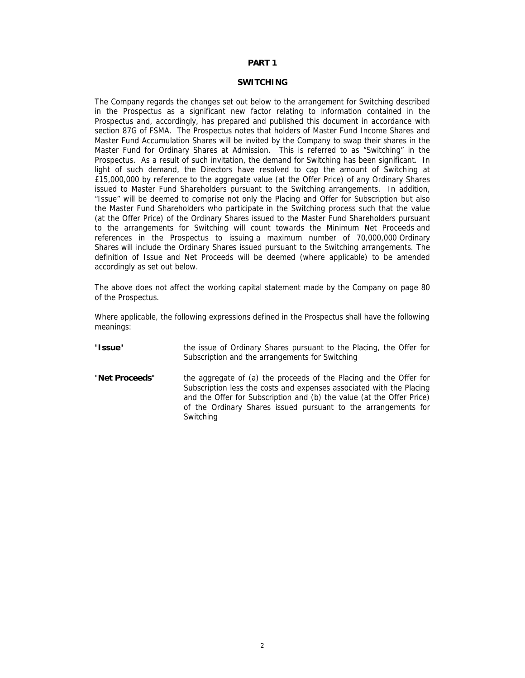# **PART 1**

### **SWITCHING**

The Company regards the changes set out below to the arrangement for Switching described in the Prospectus as a significant new factor relating to information contained in the Prospectus and, accordingly, has prepared and published this document in accordance with section 87G of FSMA. The Prospectus notes that holders of Master Fund Income Shares and Master Fund Accumulation Shares will be invited by the Company to swap their shares in the Master Fund for Ordinary Shares at Admission. This is referred to as "Switching" in the Prospectus. As a result of such invitation, the demand for Switching has been significant. In light of such demand, the Directors have resolved to cap the amount of Switching at £15,000,000 by reference to the aggregate value (at the Offer Price) of any Ordinary Shares issued to Master Fund Shareholders pursuant to the Switching arrangements. In addition, "Issue" will be deemed to comprise not only the Placing and Offer for Subscription but also the Master Fund Shareholders who participate in the Switching process such that the value (at the Offer Price) of the Ordinary Shares issued to the Master Fund Shareholders pursuant to the arrangements for Switching will count towards the Minimum Net Proceeds and references in the Prospectus to issuing a maximum number of 70,000,000 Ordinary Shares will include the Ordinary Shares issued pursuant to the Switching arrangements. The definition of Issue and Net Proceeds will be deemed (where applicable) to be amended accordingly as set out below.

The above does not affect the working capital statement made by the Company on page 80 of the Prospectus.

Where applicable, the following expressions defined in the Prospectus shall have the following meanings:

- "**Issue**" the issue of Ordinary Shares pursuant to the Placing, the Offer for Subscription and the arrangements for Switching
- "**Net Proceeds**" the aggregate of (a) the proceeds of the Placing and the Offer for Subscription less the costs and expenses associated with the Placing and the Offer for Subscription and (b) the value (at the Offer Price) of the Ordinary Shares issued pursuant to the arrangements for Switching